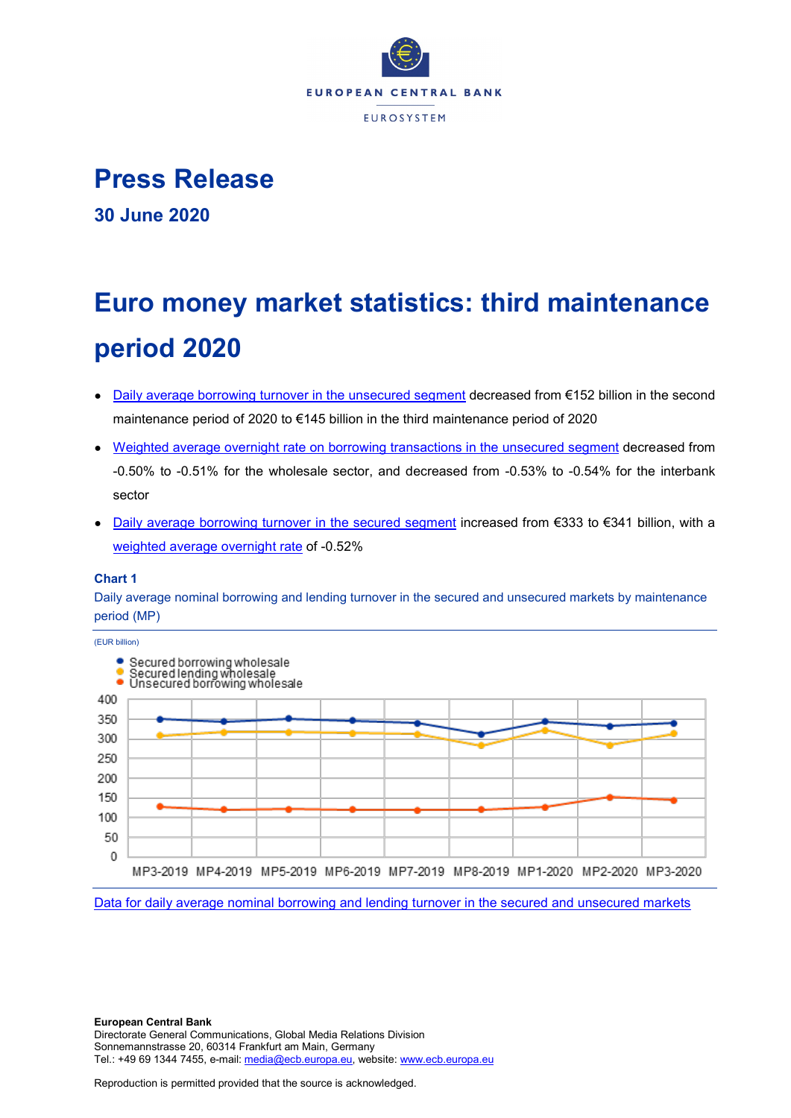

## **Press Release**

**30 June 2020**

# **Euro money market statistics: third maintenance period 2020**

- [Daily average borrowing turnover in the unsecured segment](https://sdw.ecb.europa.eu/browseSelection.do?type=series&q=MMSR.B.U2._X.U.S1ZV.BO.AT._X.AA.EUR&node=SEARCHRESULTS&ec=&oc=&rc=&cv=&pb=&dc=&df=) decreased from €152 billion in the second maintenance period of 2020 to €145 billion in the third maintenance period of 2020
- [Weighted average overnight rate on borrowing transactions in the unsecured segment](https://sdw.ecb.europa.eu/browseSelection.do?type=series&q=MMSR.B.U2._X.U.S122.BO.WR._X.MA.EUR%2cMMSR.B.U2._X.U.S1ZV.BO.WR._X.MA.EUR&node=SEARCHRESULTS&ec=&oc=&rc=&cv=&pb=&dc=&df=) decreased from -0.50% to -0.51% for the wholesale sector, and decreased from -0.53% to -0.54% for the interbank sector
- [Daily average borrowing turnover in the secured segment](https://sdw.ecb.europa.eu/browseSelection.do?type=series&q=MMSR.B.U2._X.T.S1ZV.BO.AT._X.AA.EUR&node=SEARCHRESULTS&ec=&oc=&rc=&cv=&pb=&dc=&df=) increased from €333 to €341 billion, with a [weighted average overnight rate](https://sdw.ecb.europa.eu/browseSelection.do?type=series&q=MMSR.B.U2._X.T.S1ZV.BO.WR._X.MA.EUR&node=SEARCHRESULTS&ec=&oc=&rc=&cv=&pb=&dc=&df=) of -0.52%

#### **Chart 1**

Daily average nominal borrowing and lending turnover in the secured and unsecured markets by maintenance period (MP)



[Data for daily average nominal borrowing and lending turnover in the secured and unsecured markets](https://sdw.ecb.europa.eu/browseSelection.do?type=series&q=MMSR.B.U2._X.U.S1ZV.BO.AT._X.AA.EUR%2cMMSR.B.U2._X.T.S1ZV.BO.AT._X.AA.EUR%2cMMSR.B.U2._X.T.S1ZV.LE.AT._X.AA.EUR&node=SEARCHRESULTS&ec=&oc=&rc=&cv=&pb=&dc=&df=)

**European Central Bank** Directorate General Communications, Global Media Relations Division Sonnemannstrasse 20, 60314 Frankfurt am Main, Germany Tel.: +49 69 1344 7455, e-mail: [media@ecb.europa.eu,](mailto:media@ecb.europa.eu) website[: www.ecb.europa.eu](http://www.ecb.europa.eu/)

Reproduction is permitted provided that the source is acknowledged.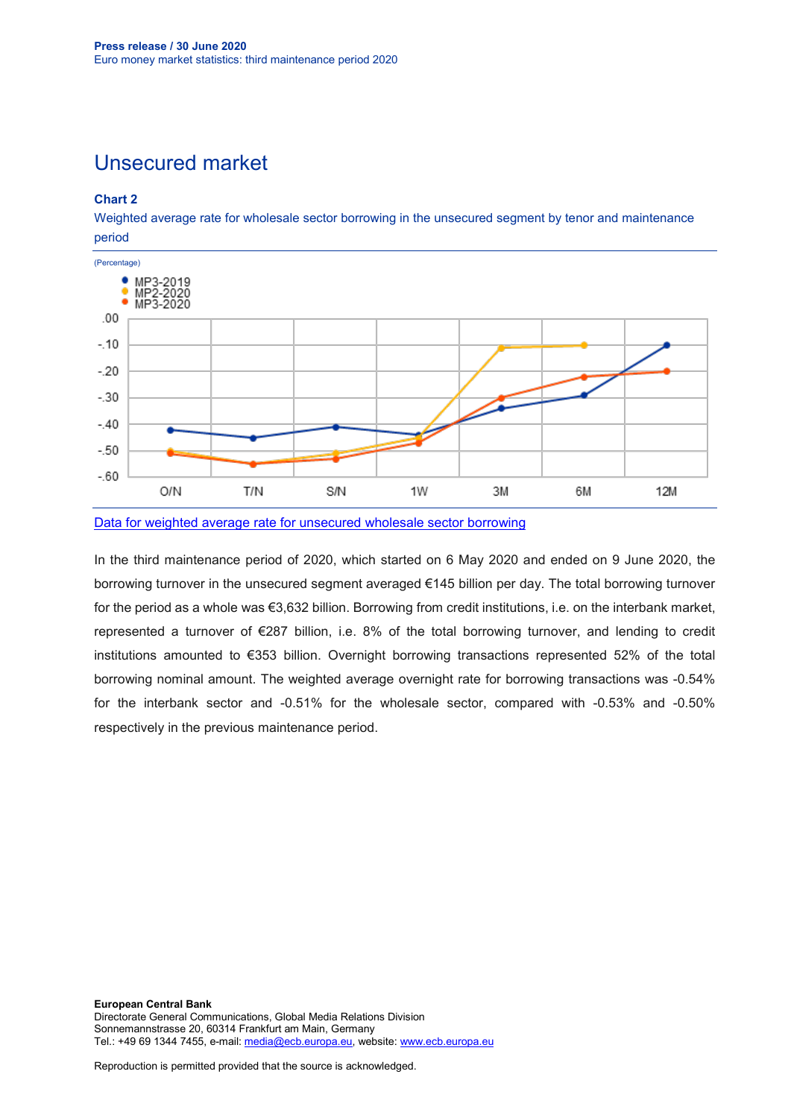### Unsecured market

#### **Chart 2**

Weighted average rate for wholesale sector borrowing in the unsecured segment by tenor and maintenance period



[Data for weighted average rate for unsecured wholesale sector borrowing](https://sdw.ecb.europa.eu/browseSelection.do?type=series&q=MMSR.B.U2._X.U.S1ZV.BO.WR._X.%3f.EUR&node=SEARCHRESULTS&ec=&oc=&rc=&cv=&pb=&dc=&df=)

In the third maintenance period of 2020, which started on 6 May 2020 and ended on 9 June 2020, the borrowing turnover in the unsecured segment averaged €145 billion per day. The total borrowing turnover for the period as a whole was €3,632 billion. Borrowing from credit institutions, i.e. on the interbank market, represented a turnover of €287 billion, i.e. 8% of the total borrowing turnover, and lending to credit institutions amounted to €353 billion. Overnight borrowing transactions represented 52% of the total borrowing nominal amount. The weighted average overnight rate for borrowing transactions was -0.54% for the interbank sector and -0.51% for the wholesale sector, compared with -0.53% and -0.50% respectively in the previous maintenance period.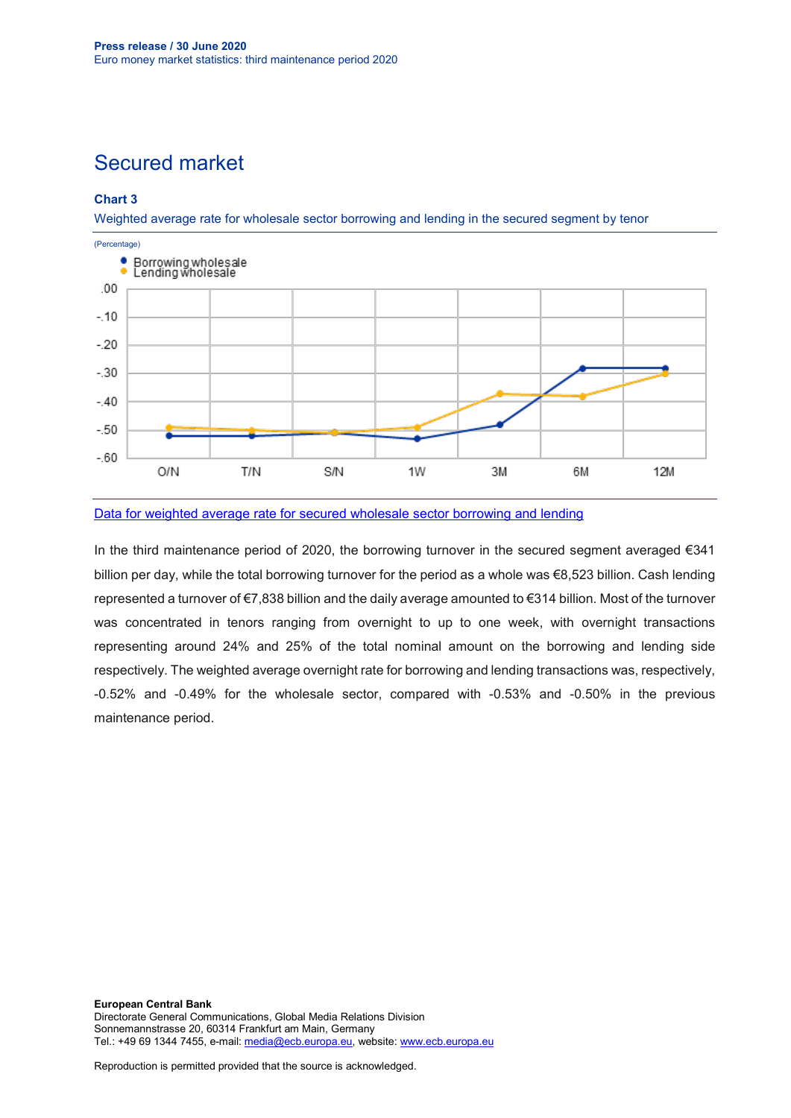## Secured market

#### **Chart 3**

Weighted average rate for wholesale sector borrowing and lending in the secured segment by tenor



#### [Data for weighted average rate for secured wholesale sector borrowing and lending](https://sdw.ecb.europa.eu/browseSelection.do?type=series&q=MMSR.B.U2._X.T.S1ZV.%3f.WR._X.%3f.EUR&node=SEARCHRESULTS&ec=&oc=&rc=&cv=&pb=&dc=&df=)

In the third maintenance period of 2020, the borrowing turnover in the secured segment averaged €341 billion per day, while the total borrowing turnover for the period as a whole was €8,523 billion. Cash lending represented a turnover of €7,838 billion and the daily average amounted to €314 billion. Most of the turnover was concentrated in tenors ranging from overnight to up to one week, with overnight transactions representing around 24% and 25% of the total nominal amount on the borrowing and lending side respectively. The weighted average overnight rate for borrowing and lending transactions was, respectively, -0.52% and -0.49% for the wholesale sector, compared with -0.53% and -0.50% in the previous maintenance period.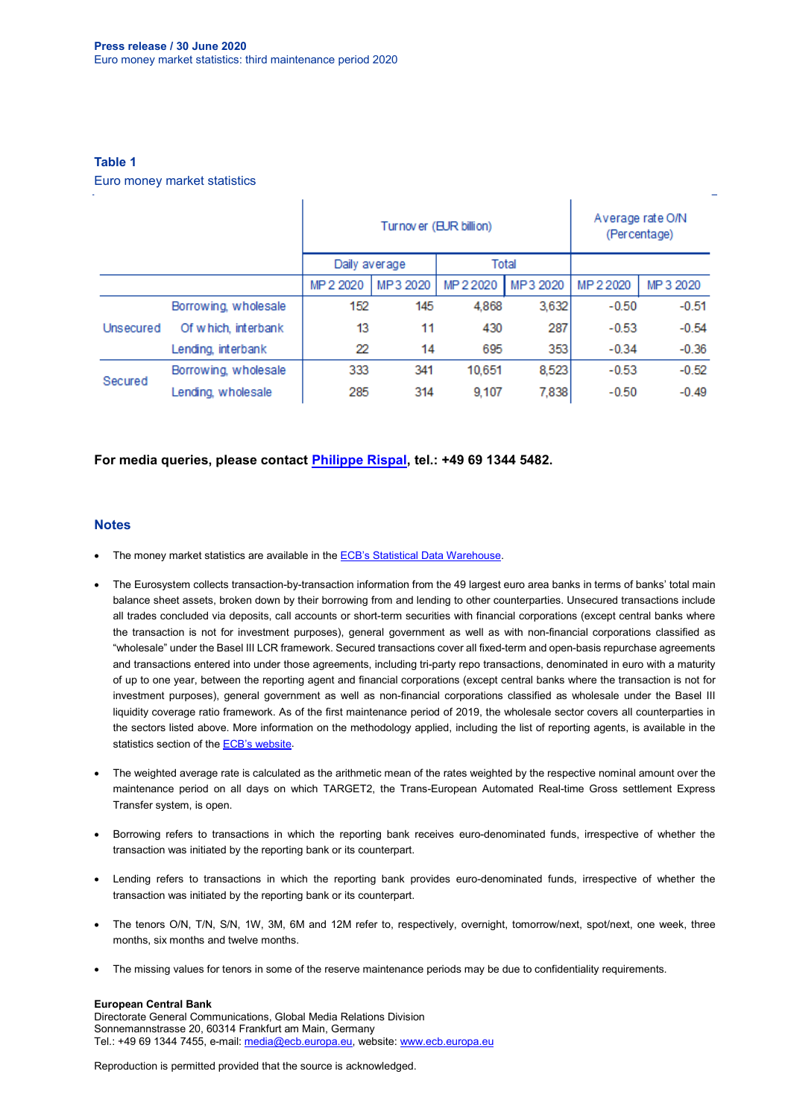#### **Table 1**

Euro money market statistics

|           |                      | Turnov er (EUR billion) |          |           | Average rate O/N<br>(Percentage) |           |           |
|-----------|----------------------|-------------------------|----------|-----------|----------------------------------|-----------|-----------|
|           |                      | Daily average           |          | Total     |                                  |           |           |
|           |                      | MP 2 2020               | MP3 2020 | MP 2 2020 | MP3 2020                         | MP 2 2020 | MP 3 2020 |
| Unsecured | Borrowing, wholesale | 152                     | 145      | 4.868     | 3,632                            | $-0.50$   | $-0.51$   |
|           | Of which, interbank  | 13                      | 11       | 430       | 287                              | $-0.53$   | $-0.54$   |
|           | Lending, interbank   | 22                      | 14       | 695       | 353                              | $-0.34$   | $-0.36$   |
| Secured   | Borrowing, wholesale | 333                     | 341      | 10.651    | 8,523                            | $-0.53$   | $-0.52$   |
|           | Lending, wholesale   | 285                     | 314      | 9.107     | 7,838                            | $-0.50$   | $-0.49$   |

#### **For media queries, please contact [Philippe Rispal,](mailto:philippe.rispal@ecb.europa.eu) tel.: +49 69 1344 5482.**

#### **Notes**

- The money market statistics are available in the **ECB's Statistical Data Warehouse**.
- The Eurosystem collects transaction-by-transaction information from the 49 largest euro area banks in terms of banks' total main balance sheet assets, broken down by their borrowing from and lending to other counterparties. Unsecured transactions include all trades concluded via deposits, call accounts or short-term securities with financial corporations (except central banks where the transaction is not for investment purposes), general government as well as with non-financial corporations classified as "wholesale" under the Basel III LCR framework. Secured transactions cover all fixed-term and open-basis repurchase agreements and transactions entered into under those agreements, including tri-party repo transactions, denominated in euro with a maturity of up to one year, between the reporting agent and financial corporations (except central banks where the transaction is not for investment purposes), general government as well as non-financial corporations classified as wholesale under the Basel III liquidity coverage ratio framework. As of the first maintenance period of 2019, the wholesale sector covers all counterparties in the sectors listed above. More information on the methodology applied, including the list of reporting agents, is available in the statistics section of the **ECB's website**.
- The weighted average rate is calculated as the arithmetic mean of the rates weighted by the respective nominal amount over the maintenance period on all days on which TARGET2, the Trans-European Automated Real-time Gross settlement Express Transfer system, is open.
- Borrowing refers to transactions in which the reporting bank receives euro-denominated funds, irrespective of whether the transaction was initiated by the reporting bank or its counterpart.
- Lending refers to transactions in which the reporting bank provides euro-denominated funds, irrespective of whether the transaction was initiated by the reporting bank or its counterpart.
- The tenors O/N, T/N, S/N, 1W, 3M, 6M and 12M refer to, respectively, overnight, tomorrow/next, spot/next, one week, three months, six months and twelve months.
- The missing values for tenors in some of the reserve maintenance periods may be due to confidentiality requirements.

#### **European Central Bank**

Directorate General Communications, Global Media Relations Division Sonnemannstrasse 20, 60314 Frankfurt am Main, Germany Tel.: +49 69 1344 7455, e-mail: [media@ecb.europa.eu,](mailto:media@ecb.europa.eu) website[: www.ecb.europa.eu](http://www.ecb.europa.eu/)

Reproduction is permitted provided that the source is acknowledged.